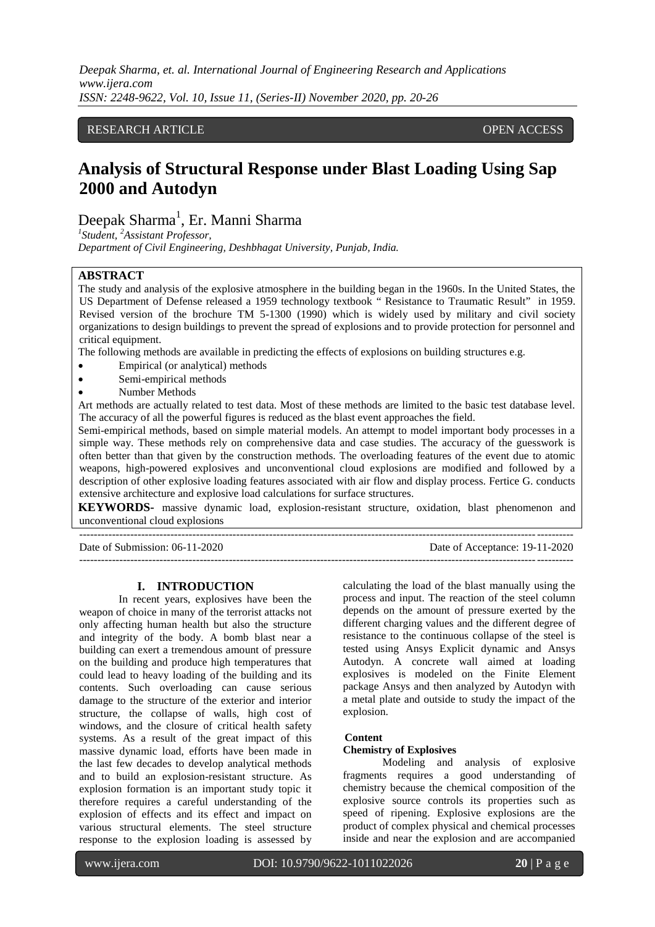*Deepak Sharma, et. al. International Journal of Engineering Research and Applications www.ijera.com ISSN: 2248-9622, Vol. 10, Issue 11, (Series-II) November 2020, pp. 20-26*

## RESEARCH ARTICLE **CONTRACT ARTICLE** AND LOTEN ACCESS OPEN ACCESS

# **Analysis of Structural Response under Blast Loading Using Sap 2000 and Autodyn**

Deepak Sharma<sup>1</sup>, Er. Manni Sharma

*1 Student, <sup>2</sup>Assistant Professor, Department of Civil Engineering, Deshbhagat University, Punjab, India.*

#### **ABSTRACT**

The study and analysis of the explosive atmosphere in the building began in the 1960s. In the United States, the US Department of Defense released a 1959 technology textbook " Resistance to Traumatic Result" in 1959. Revised version of the brochure TM 5-1300 (1990) which is widely used by military and civil society organizations to design buildings to prevent the spread of explosions and to provide protection for personnel and critical equipment.

The following methods are available in predicting the effects of explosions on building structures e.g.

- Empirical (or analytical) methods
- Semi-empirical methods
- Number Methods

Art methods are actually related to test data. Most of these methods are limited to the basic test database level. The accuracy of all the powerful figures is reduced as the blast event approaches the field.

Semi-empirical methods, based on simple material models. An attempt to model important body processes in a simple way. These methods rely on comprehensive data and case studies. The accuracy of the guesswork is often better than that given by the construction methods. The overloading features of the event due to atomic weapons, high-powered explosives and unconventional cloud explosions are modified and followed by a description of other explosive loading features associated with air flow and display process. Fertice G. conducts extensive architecture and explosive load calculations for surface structures.

**KEYWORDS-** massive dynamic load, explosion-resistant structure, oxidation, blast phenomenon and unconventional cloud explosions

---------------------------------------------------------------------------------------------------------------------------------------

Date of Submission: 06-11-2020 Date of Acceptance: 19-11-2020

**I. INTRODUCTION**

In recent years, explosives have been the weapon of choice in many of the terrorist attacks not only affecting human health but also the structure and integrity of the body. A bomb blast near a building can exert a tremendous amount of pressure on the building and produce high temperatures that could lead to heavy loading of the building and its contents. Such overloading can cause serious damage to the structure of the exterior and interior structure, the collapse of walls, high cost of windows, and the closure of critical health safety systems. As a result of the great impact of this massive dynamic load, efforts have been made in the last few decades to develop analytical methods and to build an explosion-resistant structure. As explosion formation is an important study topic it therefore requires a careful understanding of the explosion of effects and its effect and impact on various structural elements. The steel structure response to the explosion loading is assessed by

calculating the load of the blast manually using the process and input. The reaction of the steel column depends on the amount of pressure exerted by the different charging values and the different degree of resistance to the continuous collapse of the steel is tested using Ansys Explicit dynamic and Ansys Autodyn. A concrete wall aimed at loading explosives is modeled on the Finite Element package Ansys and then analyzed by Autodyn with a metal plate and outside to study the impact of the explosion.

#### **Content**

#### **Chemistry of Explosives**

---------------------------------------------------------------------------------------------------------------------------------------

Modeling and analysis of explosive fragments requires a good understanding of chemistry because the chemical composition of the explosive source controls its properties such as speed of ripening. Explosive explosions are the product of complex physical and chemical processes inside and near the explosion and are accompanied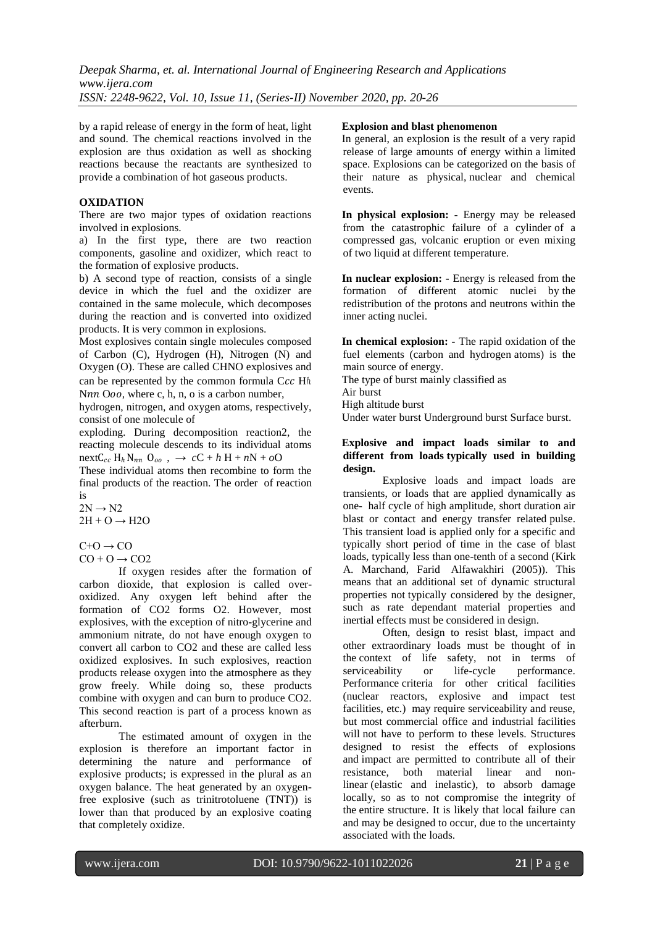*Deepak Sharma, et. al. International Journal of Engineering Research and Applications www.ijera.com ISSN: 2248-9622, Vol. 10, Issue 11, (Series-II) November 2020, pp. 20-26*

by a rapid release of energy in the form of heat, light and sound. The chemical reactions involved in the explosion are thus oxidation as well as shocking reactions because the reactants are synthesized to provide a combination of hot gaseous products.

#### **OXIDATION**

There are two major types of oxidation reactions involved in explosions.

a) In the first type, there are two reaction components, gasoline and oxidizer, which react to the formation of explosive products.

b) A second type of reaction, consists of a single device in which the fuel and the oxidizer are contained in the same molecule, which decomposes during the reaction and is converted into oxidized products. It is very common in explosions.

Most explosives contain single molecules composed of Carbon (C), Hydrogen (H), Nitrogen (N) and Oxygen (O). These are called CHNO explosives and can be represented by the common formula Ccc Hh Nnn  $0.00$ , where c, h, n, o is a carbon number,

hydrogen, nitrogen, and oxygen atoms, respectively, consist of one molecule of

exploding. During decomposition reaction2, the reacting molecule descends to its individual atoms  $nextC_{cc} H_h N_{nn} O_{oo}$ ,  $\rightarrow cC + h H + nN + oO$ 

These individual atoms then recombine to form the final products of the reaction. The order of reaction is

 $2N \rightarrow N2$  $2H + O \rightarrow H2O$ 

 $C+O \rightarrow CO$  $CO + O \rightarrow CO2$ 

If oxygen resides after the formation of carbon dioxide, that explosion is called overoxidized. Any oxygen left behind after the formation of CO2 forms O2. However, most explosives, with the exception of nitro-glycerine and ammonium nitrate, do not have enough oxygen to convert all carbon to CO2 and these are called less oxidized explosives. In such explosives, reaction products release oxygen into the atmosphere as they grow freely. While doing so, these products combine with oxygen and can burn to produce CO2. This second reaction is part of a process known as afterburn.

The estimated amount of oxygen in the explosion is therefore an important factor in determining the nature and performance of explosive products; is expressed in the plural as an oxygen balance. The heat generated by an oxygenfree explosive (such as trinitrotoluene (TNT)) is lower than that produced by an explosive coating that completely oxidize.

#### **Explosion and blast phenomenon**

In general, an explosion is the result of a very rapid release of large amounts of energy within a limited space. Explosions can be categorized on the basis of their nature as physical, nuclear and chemical events.

**In physical explosion: -** Energy may be released from the catastrophic failure of a cylinder of a compressed gas, volcanic eruption or even mixing of two liquid at different temperature.

**In nuclear explosion: -** Energy is released from the formation of different atomic nuclei by the redistribution of the protons and neutrons within the inner acting nuclei.

**In chemical explosion: -** The rapid oxidation of the fuel elements (carbon and hydrogen atoms) is the main source of energy.

The type of burst mainly classified as

Air burst

High altitude burst

Under water burst Underground burst Surface burst.

#### **Explosive and impact loads similar to and different from loads typically used in building design.**

Explosive loads and impact loads are transients, or loads that are applied dynamically as one- half cycle of high amplitude, short duration air blast or contact and energy transfer related pulse. This transient load is applied only for a specific and typically short period of time in the case of blast loads, typically less than one-tenth of a second (Kirk A. Marchand, Farid Alfawakhiri (2005)). This means that an additional set of dynamic structural properties not typically considered by the designer, such as rate dependant material properties and inertial effects must be considered in design.

Often, design to resist blast, impact and other extraordinary loads must be thought of in the context of life safety, not in terms of serviceability or life-cycle performance. Performance criteria for other critical facilities (nuclear reactors, explosive and impact test facilities, etc.) may require serviceability and reuse, but most commercial office and industrial facilities will not have to perform to these levels. Structures designed to resist the effects of explosions and impact are permitted to contribute all of their resistance, both material linear and nonlinear (elastic and inelastic), to absorb damage locally, so as to not compromise the integrity of the entire structure. It is likely that local failure can and may be designed to occur, due to the uncertainty associated with the loads.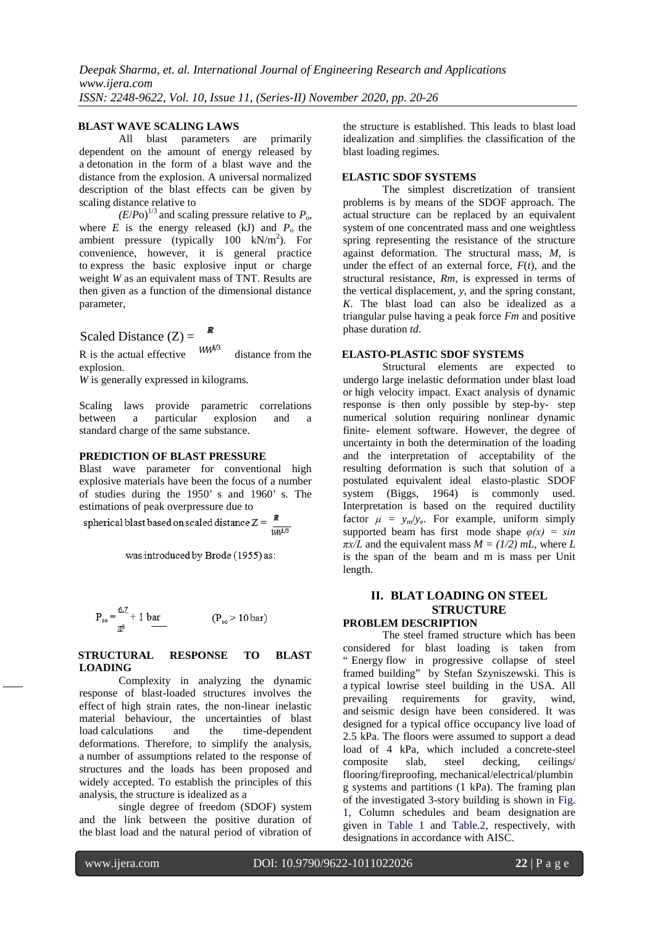### **BLAST WAVE SCALING LAWS**

All blast parameters are primarily dependent on the amount of energy released by a detonation in the form of a blast wave and the distance from the explosion. A universal normalized description of the blast effects can be given by scaling distance relative to

 $(E/P<sub>O</sub>)<sup>1/3</sup>$  and scaling pressure relative to  $P<sub>o</sub>$ , where  $E$  is the energy released (kJ) and  $P_0$  the ambient pressure (typically  $100 \text{ kN/m}^2$ ). For convenience, however, it is general practice to express the basic explosive input or charge weight *W* as an equivalent mass of TNT. Results are then given as a function of the dimensional distance parameter,

Scaled Distance 
$$
(Z) = \mathbb{R}
$$

R is the actual effective  $WW^{4,3}$  distance from the explosion.  $WW^{1/3}$ 

*W* is generally expressed in kilograms.

Scaling laws provide parametric correlations between a particular explosion and a standard charge of the same substance.

## **PREDICTION OF BLAST PRESSURE**

Blast wave parameter for conventional high explosive materials have been the focus of a number of studies during the 1950' s and 1960' s. The estimations of peak overpressure due to

spherical blast based on scaled distance  $Z =$  $\overline{WW}$ 

was introduced by Brode (1955) as:

$$
P_{so} = \frac{6.7}{z^3} + 1 \text{ bar} \qquad (P_{so} > 10 \text{ bar})
$$

#### **STRUCTURAL RESPONSE TO BLAST LOADING**

Complexity in analyzing the dynamic response of blast-loaded structures involves the effect of high strain rates, the non-linear inelastic material behaviour, the uncertainties of blast load calculations and the time-dependent deformations. Therefore, to simplify the analysis, a number of assumptions related to the response of structures and the loads has been proposed and widely accepted. To establish the principles of this analysis, the structure is idealized as a

single degree of freedom (SDOF) system and the link between the positive duration of the blast load and the natural period of vibration of the structure is established. This leads to blast load idealization and simplifies the classification of the blast loading regimes.

## **ELASTIC SDOF SYSTEMS**

The simplest discretization of transient problems is by means of the SDOF approach. The actual structure can be replaced by an equivalent system of one concentrated mass and one weightless spring representing the resistance of the structure against deformation. The structural mass, *M*, is under the effect of an external force,  $F(t)$ , and the structural resistance, *Rm*, is expressed in terms of the vertical displacement, *y*, and the spring constant, *K*. The blast load can also be idealized as a triangular pulse having a peak force *Fm* and positive phase duration *td*.

#### **ELASTO-PLASTIC SDOF SYSTEMS**

Structural elements are expected to undergo large inelastic deformation under blast load or high velocity impact. Exact analysis of dynamic response is then only possible by step-by- step numerical solution requiring nonlinear dynamic finite- element software. However, the degree of uncertainty in both the determination of the loading and the interpretation of acceptability of the resulting deformation is such that solution of a postulated equivalent ideal elasto-plastic SDOF system (Biggs, 1964) is commonly used. Interpretation is based on the required ductility factor  $\mu = y_m/y_e$ . For example, uniform simply supported beam has first mode shape  $\varphi(x) = \sin(x)$  $\pi x/L$  and the equivalent mass  $M = (1/2)$  mL, where L is the span of the beam and m is mass per Unit length.

## **II. BLAT LOADING ON STEEL STRUCTURE**

## **PROBLEM DESCRIPTION**

The steel framed structure which has been considered for blast loading is taken from " Energy flow in progressive collapse of steel framed building" by Stefan Szyniszewski. This is a typical lowrise steel building in the USA. All<br>prevailing requirements for gravity, wind, prevailing requirements for gravity, wind, and seismic design have been considered. It was designed for a typical office occupancy live load of 2.5 kPa. The floors were assumed to support a dead load of 4 kPa, which included a concrete-steel composite slab, steel decking, ceilings/ flooring/fireproofing, mechanical/electrical/plumbin g systems and partitions (1 kPa). The framing plan of the investigated 3-story building is shown in Fig. 1, Column schedules and beam designation are given in Table 1 and Table.2, respectively, with designations in accordance with AISC.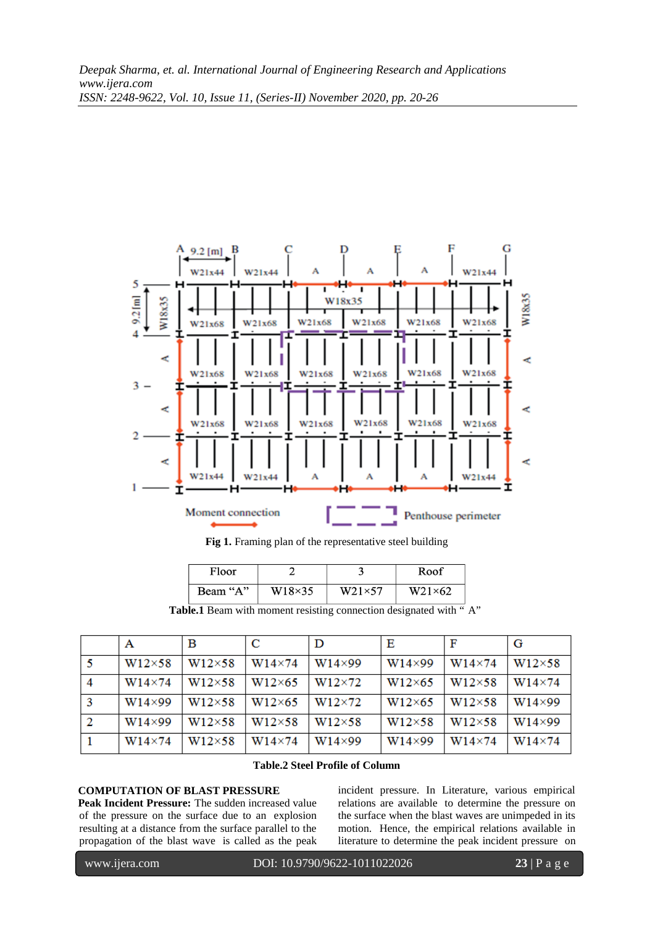

**Fig 1.** Framing plan of the representative steel building

| Floor    |                |                | Roof           |
|----------|----------------|----------------|----------------|
| Beam "A" | $W18\times 35$ | $W21\times 57$ | $W21\times 62$ |

Table.1 Beam with moment resisting connection designated with "A"

|   | А             | в              | C              | D             | Е              | F             | G             |
|---|---------------|----------------|----------------|---------------|----------------|---------------|---------------|
| 5 | W12×58        | $W12\times58$  | $W14\times74$  | $W14\times99$ | $W14\times99$  | $W14\times74$ | $W12\times58$ |
| 4 | W14×74        | $W12\times 58$ | $W12\times 65$ | W12×72        | $W12\times 65$ | $W12\times58$ | $W14\times74$ |
| 3 | $W14\times99$ | $W12\times58$  | $W12\times 65$ | W12×72        | $W12\times 65$ | $W12\times58$ | $W14\times99$ |
| 2 | $W14\times99$ | $W12\times58$  | $W12\times58$  | $W12\times58$ | W12×58         | $W12\times58$ | $W14\times99$ |
|   | $W14\times74$ | $W12\times58$  | $W14\times74$  | $W14\times99$ | $W14\times99$  | $W14\times74$ | $W14\times74$ |

## **Table.2 Steel Profile of Column**

## **COMPUTATION OF BLAST PRESSURE**

Peak Incident Pressure: The sudden increased value of the pressure on the surface due to an explosion resulting at a distance from the surface parallel to the propagation of the blast wave is called as the peak

incident pressure. In Literature, various empirical relations are available to determine the pressure on the surface when the blast waves are unimpeded in its motion. Hence, the empirical relations available in literature to determine the peak incident pressure on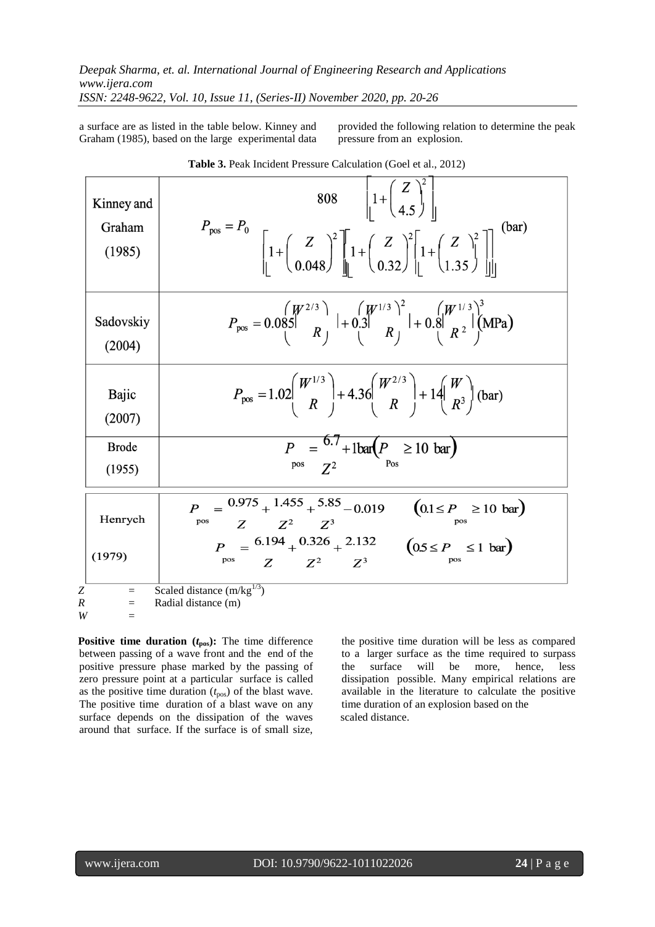a surface are as listed in the table below. Kinney and Graham (1985), based on the large experimental data

provided the following relation to determine the peak pressure from an explosion.

| Kinney and<br>Graham<br>(1985)        | $808 \qquad \begin{array}{c} 1 + \begin{pmatrix} Z \\ 4.5 \end{pmatrix} \end{array}$<br>$P_{\text{pos}} = P_0$<br>$\left[1+\left(\frac{Z}{0.048}\right)^2\right]\left[1+\left(\frac{Z}{0.32}\right)^2\left[1+\left(\frac{Z}{1.35}\right)^2\right]\right]$ |
|---------------------------------------|-----------------------------------------------------------------------------------------------------------------------------------------------------------------------------------------------------------------------------------------------------------|
| Sadovskiy<br>(2004)                   | $P_{\text{pos}} = 0.085 \begin{pmatrix} W^{2/3} \\ R \end{pmatrix} + 0.3 \begin{pmatrix} W^{1/3} \\ R \end{pmatrix}^2 + 0.8 \begin{pmatrix} W^{1/3} \\ R^2 \end{pmatrix}^3 \text{(MPa)}$                                                                  |
| Bajic<br>(2007)                       | $P_{\text{pos}} = 1.02 \left( \frac{W^{1/3}}{R} \right) + 4.36 \left( \frac{W^{2/3}}{R} \right) + 14 \left( \frac{W}{R^3} \right)$ (bar)                                                                                                                  |
| <b>Brode</b><br>(1955)                | $P_{\text{pos}} = \frac{6.7}{Z^2} + 1 \text{bar} \left( P_{\text{pos}} \ge 10 \text{ bar} \right)$                                                                                                                                                        |
| Henrych<br>(1979)                     | $P = \frac{0.975}{+}1.455 + \frac{5.85}{-}0.019$<br>$=\frac{0.975 + 1.455 + 5.85 - 0.019}{Z - Z^2 - Z^3}$ $P = \frac{6.194 + 0.326 + 2.132}{Z}$ $(0.5 \le P \le 1 \text{ bar})$<br>pos<br>$Z$ $Z^2$ $Z^3$<br>pos<br>pos                                   |
| Z<br>$\equiv$<br>R<br>$=$<br>W<br>$=$ | Scaled distance $(m/kg^{1/3})$<br>Radial distance (m)                                                                                                                                                                                                     |

**Table 3.** Peak Incident Pressure Calculation (Goel et al., 2012)

**Positive time duration**  $(t_{\text{pos}})$ : The time difference between passing of a wave front and the end of the positive pressure phase marked by the passing of zero pressure point at a particular surface is called as the positive time duration  $(t_{\text{pos}})$  of the blast wave. The positive time duration of a blast wave on any surface depends on the dissipation of the waves around that surface. If the surface is of small size, the positive time duration will be less as compared to a larger surface as the time required to surpass the surface will be more, hence, less dissipation possible. Many empirical relations are available in the literature to calculate the positive time duration of an explosion based on the scaled distance.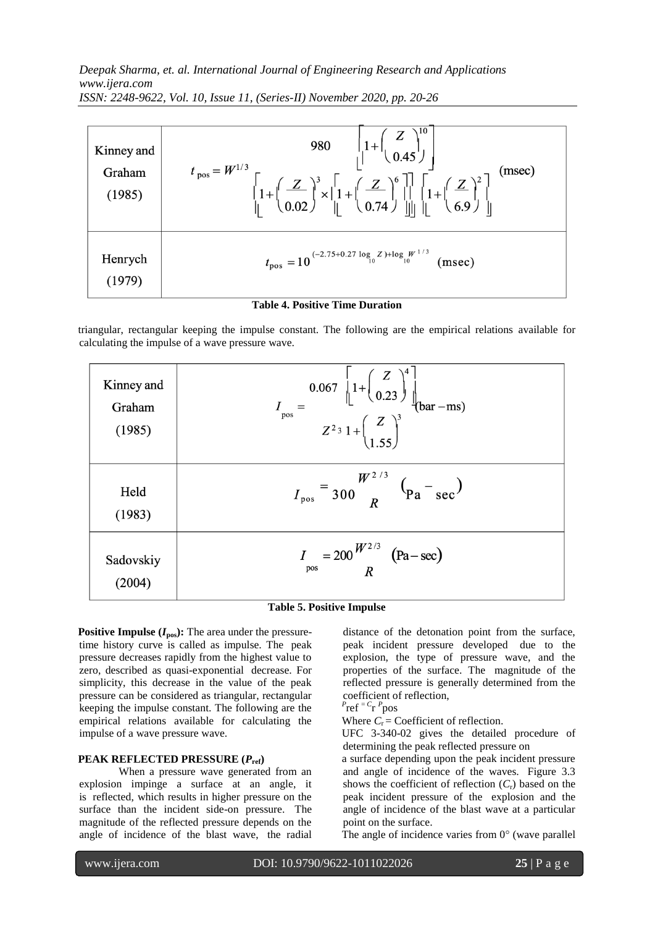*Deepak Sharma, et. al. International Journal of Engineering Research and Applications www.ijera.com ISSN: 2248-9622, Vol. 10, Issue 11, (Series-II) November 2020, pp. 20-26*

| Kinney and<br>Graham<br>(1985) | $\left 1+\frac{Z}{0.45}\right $<br>980<br>$t_{\text{pos}} = W^{1/3}$<br>(msec)<br>$\left[\begin{matrix} 2 \\ 1 + \left(\frac{Z}{0.02}\right)^3 \times \left[1 + \left(\frac{Z}{0.74}\right)^6\right] & 1 + \left(\frac{Z}{0.9}\right)^2 \\ 0 & 0 & 0 \end{matrix}\right]$ |
|--------------------------------|---------------------------------------------------------------------------------------------------------------------------------------------------------------------------------------------------------------------------------------------------------------------------|
| Henrych                        | $t_{\text{pos}} = 10^{(-2.75+0.27 \log_{10} Z) + \log_{10} W^{1/3}}$<br>(msec)                                                                                                                                                                                            |

triangular, rectangular keeping the impulse constant. The following are the empirical relations available for calculating the impulse of a wave pressure wave.

| Kinney and<br>Graham<br>(1985) | $I_{\text{pos}} = \frac{0.067 \left[ 1 + \left( \frac{Z}{0.23} \right)^4 \right]}{Z^2 \cdot 1 + \left( \frac{Z}{1.55} \right)^3} \text{bar} - \text{ms})$ |  |
|--------------------------------|-----------------------------------------------------------------------------------------------------------------------------------------------------------|--|
| Held<br>(1983)                 | $I_{\text{pos}} = \frac{W^{2/3}}{300 R} \left( \frac{1}{\text{Pa}} - \frac{1}{\text{sec}} \right)$                                                        |  |
| Sadovskiy<br>(2004)            | $I_{\text{pos}} = 200 \frac{W^{2/3}}{R}$ (Pa – sec)                                                                                                       |  |

## **Table 5. Positive Impulse**

**Positive Impulse**  $(I_{\text{pos}})$ **: The area under the pressure**time history curve is called as impulse. The peak pressure decreases rapidly from the highest value to zero, described as quasi-exponential decrease. For simplicity, this decrease in the value of the peak pressure can be considered as triangular, rectangular keeping the impulse constant. The following are the empirical relations available for calculating the impulse of a wave pressure wave.

## **PEAK REFLECTED PRESSURE (***P***ref)**

When a pressure wave generated from an explosion impinge a surface at an angle, it is reflected, which results in higher pressure on the surface than the incident side-on pressure. The magnitude of the reflected pressure depends on the angle of incidence of the blast wave, the radial distance of the detonation point from the surface, peak incident pressure developed due to the explosion, the type of pressure wave, and the properties of the surface. The magnitude of the reflected pressure is generally determined from the coefficient of reflection,

$$
P_{\text{ref}} = C_{\text{r}} P_{\text{pos}}
$$

Where  $C_r$  = Coefficient of reflection.

UFC 3-340-02 gives the detailed procedure of determining the peak reflected pressure on

a surface depending upon the peak incident pressure and angle of incidence of the waves. Figure 3.3 shows the coefficient of reflection (*C*r) based on the peak incident pressure of the explosion and the angle of incidence of the blast wave at a particular point on the surface.

The angle of incidence varies from  $0^{\circ}$  (wave parallel